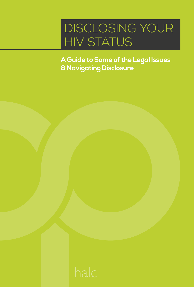### DISCLOSING YOUR HIV STATUS

**A Guide to Some of the Legal Issues & Navigating Disclosure**

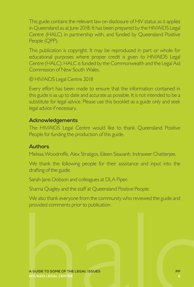This guide contains the relevant law on disclosure of HIV status as it applies in Queensland as at June 2018. It has been prepared by the HIV/AIDS Legal Centre (HALC) in partnership with, and funded by Queensland Positive People (QPP).

This publication is copyright. It may be reproduced in part or whole for educational purposes where proper credit is given to HIV/AIDS Legal Centre (HALC). HALC is funded by the Commonwealth and the Legal Aid Commission of New South Wales.

© HIV/AIDS Legal Centre 2018

Every effort has been made to ensure that the information contained in this guide is as up to date and accurate as possible. It is not intended to be a substitute for legal advice. Please use this booklet as a guide only and seek legal advice if necessary.

#### **Acknowledgements**

The HIV/AIDS Legal Centre would like to thank Queensland Positive People for funding the production of this guide.

#### **Authors**

Melissa Woodroffe, Alex Stratigos, Eileen Sisavanh, Indraveer Chatterjee.

We thank the following people for their assistance and input into the drafting of the guide:

Sarah-Jane Dobson and colleagues at DLA Piper.

Sharna Quigley and the staff at Queensland Positive People.

We also thank everyone from the community who reviewed the guide and provided comments prior to publication.

**HALC CONTRACTED A GUIDE TO SOME OF THE LEGAL ISSUES HIV/AIDS LEGAL CENTRE**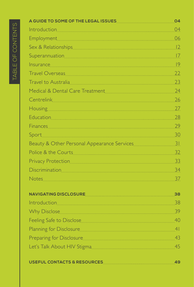| A GUIDE TO SOME OF THE LEGAL ISSUES <b>And A GUIDE TO SOME OF THE LEGAL ISSUES</b>                                                                                                                                                   | 04             |
|--------------------------------------------------------------------------------------------------------------------------------------------------------------------------------------------------------------------------------------|----------------|
|                                                                                                                                                                                                                                      | 04             |
|                                                                                                                                                                                                                                      | 06             |
|                                                                                                                                                                                                                                      |                |
|                                                                                                                                                                                                                                      |                |
| <u>Insurance [19] Insurance [19] Insurance [19] Insurance [19] Insurance [19] Insurance [19] Insurance [19] Insurance [19] Insurance [19] Insurance [19] Insurance [19] Insurance [19] Insurance [19] Insurance [19] Insurance [</u> |                |
|                                                                                                                                                                                                                                      | 22             |
|                                                                                                                                                                                                                                      | 23             |
|                                                                                                                                                                                                                                      | 24             |
|                                                                                                                                                                                                                                      |                |
|                                                                                                                                                                                                                                      | 27             |
|                                                                                                                                                                                                                                      | 28             |
|                                                                                                                                                                                                                                      | 29             |
|                                                                                                                                                                                                                                      |                |
|                                                                                                                                                                                                                                      |                |
|                                                                                                                                                                                                                                      | .32            |
|                                                                                                                                                                                                                                      |                |
|                                                                                                                                                                                                                                      |                |
|                                                                                                                                                                                                                                      | .37            |
|                                                                                                                                                                                                                                      |                |
| NAVIGATING DISCLOSURE <b>And the Contract of the Contract of Tens</b>                                                                                                                                                                | 38             |
|                                                                                                                                                                                                                                      | 38             |
|                                                                                                                                                                                                                                      | 39             |
|                                                                                                                                                                                                                                      | 40             |
|                                                                                                                                                                                                                                      | 4 <sup>1</sup> |
|                                                                                                                                                                                                                                      | 43             |
|                                                                                                                                                                                                                                      | 45             |
|                                                                                                                                                                                                                                      |                |

|--|--|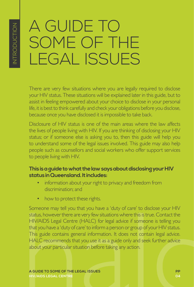## A GUIDE TO SOME OF THE LEGAL ISSUES

There are very few situations where you are legally required to disclose your HIV status. These situations will be explained later in this guide, but to assist in feeling empowered about your choice to disclose in your personal life, it is best to think carefully and check your obligations before you disclose, because once you have disclosed it is impossible to take back.

Disclosure of HIV status is one of the main areas where the law affects the lives of people living with HIV. If you are thinking of disclosing your HIV status; or if someone else is asking you to, then this guide will help you to understand some of the legal issues involved. This guide may also help people such as counsellors and social workers who offer support services to people living with HIV.

#### **This is a guide to what the law says about disclosing your HIV status in Queensland. It includes:**

- information about your right to privacy and freedom from discrimination; and
- how to protect these rights.

Someone may tell you that you have a 'duty of care' to disclose your HIV<br>status, however there are very few situations where this is true. Contact the<br>HIV/AIDS Legal Centre (HALC) for legal advice if someone is telling you Someone may tell you that you have a 'duty of care' to disclose your HIV status, however there are very few situations where this is true. Contact the HIV/AIDS Legal Centre (HALC) for legal advice if someone is telling you that you have a 'duty of care' to inform a person or group of your HIV status. This guide contains general information. It does not contain legal advice. HALC recommends that you use it as a guide only and seek further advice about your particular situation before taking any action.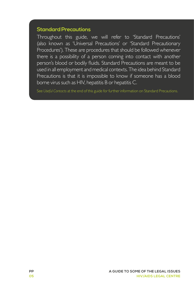#### **Standard Precautions**

Throughout this guide, we will refer to 'Standard Precautions' (also known as 'Universal Precautions' or 'Standard Precautionary Procedures'). These are procedures that should be followed whenever there is a possibility of a person coming into contact with another person's blood or bodily fluids. Standard Precautions are meant to be used in all employment and medical contexts. The idea behind Standard Precautions is that it is impossible to know if someone has a blood borne virus such as HIV, hepatitis B or hepatitis C.

See *Useful Contacts* at the end of this guide for further information on Standard Precautions.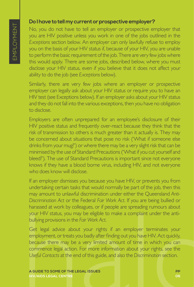#### **Do I have to tell my current or prospective employer?**

No, you do not have to tell an employer or prospective employer that you are HIV positive unless you work in one of the jobs outlined in the *Exceptions* section below. An employer can only lawfully refuse to employ you on the basis of your HIV status if, because of your HIV, you are unable to perform the basic requirement of the job. There are very few jobs where this would apply. There are some jobs, described below, where you must disclose your HIV status, even if you believe that it does not affect your ability to do the job (see *Exceptions* below).

Similarly, there are very few jobs where an employer or prospective employer can legally ask about your HIV status or require you to have an HIV test (see Exceptions below). If an employer asks about your HIV status and they do not fall into the various exceptions, then you have no obligation to disclose.

Employers are often unprepared for an employee's disclosure of their HIV positive status and frequently over-react because they think that the risk of transmission to others is much greater than it actually is. They may be concerned about situations that pose no risk ('What if someone else drinks from your mug?') or where there may be a very slight risk that can be minimised by the use of Standard Precautions ('What if you cut yourself and bleed?'). The use of Standard Precautions is important since not everyone knows if they have a blood borne virus, including HIV, and not everyone who does know will disclose.

If an employer dismisses you because you have HIV, or prevents you from undertaking certain tasks that would normally be part of the job, then this may amount to unlawful discrimination under either the Queensland *Anti-Discrimination Act* or the Federal *Fair Work Act*. If you are being bullied or harassed at work by colleagues, or if people are spreading rumours about your HIV status, you may be eligible to make a complaint under the antibullying provisions in the *Fair Work Act*.

harassed at work by colleagues, or if people are spreading rumours about<br>your HIV status, you may be eligible to make a complaint under the anti-<br>bullying provisions in the *Fair Work Act*.<br>Get legal advice about your righ Get legal advice about your rights if an employer terminates your employment, or treats you badly after finding out you have HIV. Act quickly, because there may be a very limited amount of time in which you can commence legal action. For more information about your rights, see the *Useful Contacts* at the end of this guide, and also the *Discrimination* section.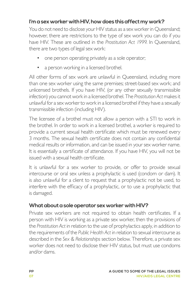#### **I'm a sex worker with HIV, how does this affect my work?**

You do not need to disclose your HIV status as a sex worker in Queensland; however, there are restrictions to the type of sex work you can do if you have HIV. These are outlined in the *Prostitution Act 1999*. In Queensland, there are two types of legal sex work:

- one person operating privately as a sole operator;
- a person working in a licensed brothel.

All other forms of sex work are unlawful in Queensland, including more than one sex worker using the same premises; street-based sex work; and unlicensed brothels. If you have HIV, (or any other sexually transmissible infection) you cannot work in a licensed brothel. The *Prostitution Act* makes it unlawful for a sex worker to work in a licensed brothel if they have a sexually transmissible infection (including HIV).

The licensee of a brothel must not allow a person with a STI to work in the brothel. In order to work in a licensed brothel, a worker is required to provide a current sexual health certificate which must be renewed every 3 months. The sexual health certificate does not contain any confidential medical results or information, and can be issued in your sex worker name. It is essentially a certificate of attendance. If you have HIV, you will not be issued with a sexual health certificate.

It is unlawful for a sex worker to provide, or offer to provide sexual intercourse or oral sex unless a prophylactic is used (condom or dam). It is also unlawful for a client to request that a prophylactic not be used, to interfere with the efficacy of a prophylactic, or to use a prophylactic that is damaged.

#### **What about a sole operator sex worker with HIV?**

Private sex workers are not required to obtain health certificates. If a person with HIV is working as a private sex worker, then the provisions of the *Prostitution Act* in relation to the use of prophylactics apply, in addition to the requirements of the *Public Health Act* in relation to sexual intercourse as described in the *Sex & Relationships* section below. Therefore, a private sex worker does not need to disclose their HIV status, but must use condoms and/or dams.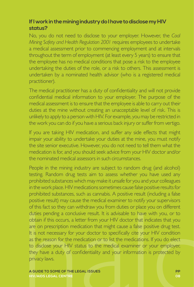#### **If I work in the mining industry do I have to disclose my HIV status?**

No, you do not need to disclose to your employer. However, the *Coal Mining Safety and Health Regulation 2001* requires employees to undertake a medical assessment prior to commencing employment and at intervals throughout the term of employment (at least every 5 years) to ensure that the employee has no medical conditions that pose a risk to the employee undertaking the duties of the role, or a risk to others. This assessment is undertaken by a nominated health advisor (who is a registered medical practitioner).

The medical practitioner has a duty of confidentiality and will not provide confidential medical information to your employer. The purpose of the medical assessment is to ensure that the employee is able to carry out their duties at the mine without creating an unacceptable level of risk. This is unlikely to apply to a person with HIV. For example, you may be restricted in the work you can do if you have a serious back injury or suffer from vertigo.

If you are taking HIV medication, and suffer any side effects that might impair your ability to undertake your duties at the mine, you must notify the site senior executive. However, you do not need to tell them what the medication is for, and you should seek advice from your HIV doctor and/or the nominated medical assessors in such circumstances.

of this fact so they can withdraw you from duties or place you on different<br>duties pending a conclusive result. It is advisable to have with you, or to<br>obtain if this occurs, a letter from your HIV doctor that indicates th People in the mining industry are subject to random drug (and alcohol) testing. Random drug tests aim to assess whether you have used any prohibited substances which may make it unsafe for you and your colleagues in the work place. HIV medications sometimes cause false positive results for prohibited substances, such as cannabis. A positive result (including a false positive result) may cause the medical examiner to notify your supervisors of this fact so they can withdraw you from duties or place you on different duties pending a conclusive result. It is advisable to have with you, or to obtain if this occurs, a letter from your HIV doctor that indicates that you are on prescription medication that might cause a false positive drug test. It is not necessary for your doctor to specifically cite your HIV condition as the reason for the medication or to list the medications. If you do elect to disclose your HIV status to the medical examiner or your employer, they have a duty of confidentiality and your information is protected by privacy laws.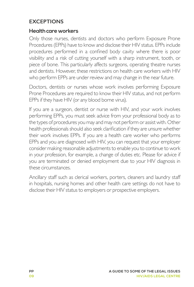#### **EXCEPTIONS**

#### **Health care workers**

Only those nurses, dentists and doctors who perform Exposure Prone Procedures (EPPs) have to know and disclose their HIV status. EPPs include procedures performed in a confined body cavity where there is poor visibility and a risk of cutting yourself with a sharp instrument, tooth, or piece of bone. This particularly affects surgeons, operating theatre nurses and dentists. However, these restrictions on health care workers with HIV who perform EPPs are under review and may change in the near future.

Doctors, dentists or nurses whose work involves performing Exposure Prone Procedures are required to know their HIV status, and not perform EPPs if they have HIV (or any blood borne virus).

If you are a surgeon, dentist or nurse with HIV, and your work involves performing EPPs, you must seek advice from your professional body as to the types of procedures you may and may not perform or assist with. Other health professionals should also seek clarification if they are unsure whether their work involves EPPs. If you are a health care worker who performs EPPs and you are diagnosed with HIV, you can request that your employer consider making reasonable adjustments to enable you to continue to work in your profession, for example, a change of duties etc. Please for advice if you are terminated or denied employment due to your HIV diagnosis in these circumstances.

Ancillary staff such as clerical workers, porters, cleaners and laundry staff in hospitals, nursing homes and other health care settings do not have to disclose their HIV status to employers or prospective employers.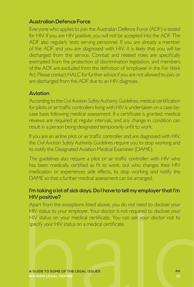#### **Australian Defence Force**

Everyone who applies to join the Australian Defence Force (ADF) is tested for HIV. If you are HIV positive, you will not be accepted into the ADF. The ADF also regularly tests serving personnel. If you are already a member of the ADF and you are diagnosed with HIV, it is likely that you will be discharged from the service. Combat and related roles are specifically exempted from the protection of discrimination legislation, and members of the ADF are excluded from the definition of 'employee' in the *Fair Work Act*. Please contact HALC for further advice if you are not allowed to join, or are discharged from the ADF due to an HIV diagnosis.

#### **Aviation**

According to the *Civil Aviation Safety Authority Guidelines*, medical certification for pilots or air traffic controllers living with HIV is undertaken on a case-bycase basis following medical assessment. If a certificate is granted, medical reviews are required at regular intervals, and any change in condition can result in a person being designated temporarily unfit to work.

If you are an airline pilot or air traffic controller and are diagnosed with HIV, the *Civil Aviation Safety Authority Guidelines* require you to stop working and to notify the Designated Aviation Medical Examiner (DAME).

The guidelines also require a pilot or air traffic controller with HIV who has been medically certified as fit to work, but who changes their HIV medication or experiences side effects, to stop working and notify the DAME so that a further medical assessment can be arranged.

#### **I'm taking a lot of sick days. Do I have to tell my employer that I'm HIV positive?**

Halc Hill in the exceptions issed above; you do not held to disclose your<br>HIV status to your employer. Your doctor is not required to disclose your<br>HIV status on your medical certificate.<br>Specify your HIV status on a medic Apart from the exceptions listed above, you do not need to disclose your HIV status to your employer. Your doctor is not required to disclose your HIV status on your medical certificate. You can ask your doctor not to specify your HIV status on a medical certificate.

**HIV/AIDS LEGAL CENTRE**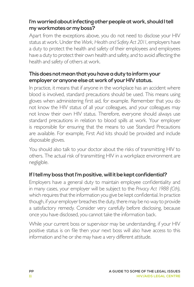#### **I'm worried about infecting other people at work, should I tell my workmates or my boss?**

Apart from the exceptions above, you do not need to disclose your HIV status at work. Under the *Work, Health and Safety Act 2011*, employers have a duty to protect the health and safety of their employees and employees have a duty to protect their own health and safety, and to avoid affecting the health and safety of others at work.

#### **This does not mean that you have a duty to inform your employer or anyone else at work of your HIV status.**

In practice, it means that if anyone in the workplace has an accident where blood is involved, standard precautions should be used. This means using gloves when administering first aid, for example. Remember that you do not know the HIV status of all your colleagues, and your colleagues may not know their own HIV status. Therefore, everyone should always use standard precautions in relation to blood spills at work. Your employer is responsible for ensuring that the means to use Standard Precautions are available. For example, First Aid kits should be provided and include disposable gloves.

You should also talk to your doctor about the risks of transmitting HIV to others. The actual risk of transmitting HIV in a workplace environment are negligible.

#### **If I tell my boss that I'm positive, will it be kept confidential?**

Employers have a general duty to maintain employee confidentiality and in many cases, your employer will be subject to the *Privacy Act 1988 (Cth)*, which requires that the information you give be kept confidential. In practice though, if your employer breaches the duty, there may be no way to provide a satisfactory remedy. Consider very carefully before disclosing, because once you have disclosed, you cannot take the information back.

While your current boss or supervisor may be understanding, if your HIV positive status is on file then your next boss will also have access to this information and he or she may have a very different attitude.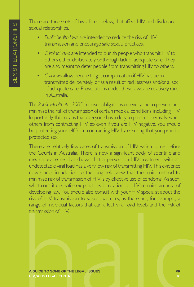There are three sets of laws, listed below, that affect HIV and disclosure in sexual relationships.

- *• Public health laws* are intended to reduce the risk of HIV transmission and encourage safe sexual practices.
- *• Criminal laws* are intended to punish people who transmit HIV to others either deliberately or through lack of adequate care. They are also meant to deter people from transmitting HIV to others.
- *• Civil laws* allow people to get compensation if HIV has been transmitted deliberately, or as a result of recklessness and/or a lack of adequate care. Prosecutions under these laws are relatively rare in Australia.

The *Public Health Act 2005* imposes obligations on everyone to prevent and minimise the risk of transmission of certain medical conditions, including HIV. Importantly, this means that everyone has a duty to protect themselves and others from contracting HIV, so even if you are HIV negative, you should be protecting yourself from contracting HIV by ensuring that you practice protected sex.

Fange of monvioual lactors that can affect viral load levels and the risk of<br>transmission of HIV.<br>A GUIDE TO SOME OF THE LEGAL ISSUES<br>HIV/AIDS LEGAL CENTRE There are relatively few cases of transmission of HIV which come before the Courts in Australia. There is now a significant body of scientific and medical evidence that shows that a person on HIV treatment with an undetectable viral load has a very low risk of transmitting HIV. This evidence now stands in addition to the long-held view that the main method to minimise risk of transmission of HIV is by effective use of condoms. As such, what constitutes safe sex practices in relation to HIV remains an area of developing law. You should also consult with your HIV specialist about the risk of HIV transmission to sexual partners, as there are, for example, a range of individual factors that can affect viral load levels and the risk of transmission of HIV.

**HIV/AIDS LEGAL CENTRE**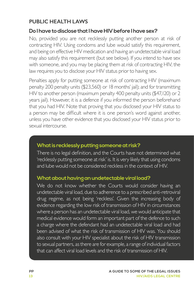#### **PUBLIC HEALTH LAWS**

#### **Do I have to disclose that I have HIV before I have sex?**

No, provided you are not recklessly putting another person at risk of contracting HIV. Using condoms and lube would satisfy this requirement, and being on effective HIV medication and having an undetectable viral load may also satisfy this requirement (but see below). If you intend to have sex with someone, and you may be placing them at risk of contracting HIV, the law requires you to disclose your HIV status prior to having sex.

Penalties apply for putting someone at risk of contracting HIV (maximum penalty 200 penalty units (\$23,560) or 18 months' jail); and for transmitting HIV to another person (maximum penalty 400 penalty units (\$47,120) or 2 years jail). However, it is a defence if you informed the person beforehand that you had HIV. Note that proving that you disclosed your HIV status to a person may be difficult where it is one person's word against another, unless you have other evidence that you disclosed your HIV status prior to sexual intercourse.

#### **What is recklessly putting someone at risk?**

There is no legal definition, and the Courts have not determined what 'recklessly putting someone at risk' is. It is very likely that using condoms and lube would not be considered reckless in the context of HIV.

#### **What about having an undetectable viral load?**

We do not know whether the Courts would consider having an undetectable viral load, due to adherence to a prescribed anti-retroviral drug regime, as not being 'reckless'. Given the increasing body of evidence regarding the low risk of transmission of HIV in circumstances where a person has an undetectable viral load, we would anticipate that medical evidence would form an important part of the defence to such a charge where the defendant had an undetectable viral load and had been advised of what the risk of transmission of HIV was. You should also consult with your HIV specialist about the risk of HIV transmission to sexual partners, as there are for example, a range of individual factors that can affect viral load levels and the risk of transmission of HIV.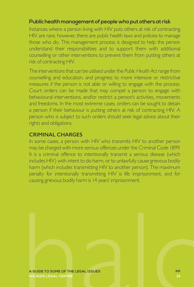#### **Public health management of people who put others at risk**

Instances where a person living with HIV puts others at risk of contracting HIV are rare, however, there are public health laws and policies to manage those who do. This management process is designed to help the person understand their responsibilities and to support them with additional counselling or other interventions to prevent them from putting others at risk of contracting HIV.

The interventions that can be utilised under the *Public Health Act* range from counselling and education, and progress to more intensive or restrictive measures if the person is not able or willing to engage with the process. Court orders can be made that may compel a person to engage with behavioural interventions, and/or restrict a person's activities, movements and freedoms. In the most extreme cases, orders can be sought to detain a person if their behaviour is putting others at risk of contracting HIV. A person who is subject to such orders should seek legal advice about their rights and obligations.

#### **CRIMINAL CHARGES**

In some cases, a person with HIV who transmits HIV to another person may be charged with more serious offences under the Criminal Code 1899. It is a criminal offence to intentionally transmit a serious disease (which includes HIV) with intent to do harm, or to unlawfully cause grievous bodily harm (which includes transmitting HIV to another person). The maximum penalty for intentionally transmitting HIV is life imprisonment, and for causing grievous bodily harm is 14 years' imprisonment.

**A GUIDE TO SOME OF THE LEGAL ISSUES**<br>HIV/AIDS LEGAL CENTRE **HIV/AIDS LEGAL CENTRE**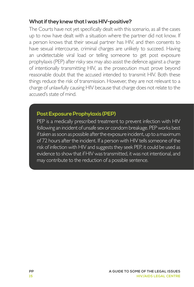#### **What if they knew that I was HIV-positive?**

The Courts have not yet specifically dealt with this scenario, as all the cases up to now have dealt with a situation where the partner did not know. If a person knows that their sexual partner has HIV, and then consents to have sexual intercourse, criminal charges are unlikely to succeed. Having an undetectable viral load or telling someone to get post exposure prophylaxis (PEP) after risky sex may also assist the defence against a charge of intentionally transmitting HIV, as the prosecution must prove beyond reasonable doubt that the accused intended to transmit HIV. Both these things reduce the risk of transmission. However, they are not relevant to a charge of unlawfully causing HIV because that charge does not relate to the accused's state of mind.

#### **Post Exposure Prophylaxis (PEP)**

PEP is a medically prescribed treatment to prevent infection with HIV following an incident of unsafe sex or condom breakage. PEP works best if taken as soon as possible after the exposure incident, up to a maximum of 72 hours after the incident. If a person with HIV tells someone of the risk of infection with HIV and suggests they seek PEP, it could be used as evidence to show that if HIV was transmitted, it was not intentional, and may contribute to the reduction of a possible sentence.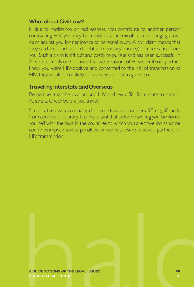#### **What about Civil Law?**

If, due to negligence or recklessness, you contribute to another person contracting HIV, you may be at risk of your sexual partner bringing a civil claim against you for negligence or personal injury. A civil claim means that they can take court action to obtain monetary (money) compensation from you. Such a claim is difficult and costly to pursue and has been successful in Australia on only one occasion that we are aware of. However, if your partner knew you were HIV-positive and consented to the risk of transmission of HIV, they would be unlikely to have any civil claim against you.

#### **Travelling Interstate and Overseas**

Remember that the laws around HIV and sex differ from state to state in Australia. Check before you travel.

Similarly, the laws surrounding disclosure to sexual partners differ significantly from country to country. It is important that before travelling you familiarise yourself with the laws in the countries to which you are travelling as some countries impose severe penalties for non-disclosure to sexual partners or HIV transmission.

**A GUIDE TO SOME OF THE LEGAL ISSUES**<br>HIV/AIDS LEGAL CENTRE **HIV/AIDS LEGAL CENTRE**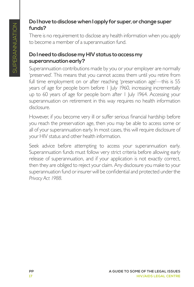#### **Do I have to disclose when I apply for super, or change super funds?**

There is no requirement to disclose any health information when you apply to become a member of a superannuation fund.

#### **Do I need to disclose my HIV status to access my superannuation early?**

Superannuation contributions made by you or your employer are normally 'preserved'. This means that you cannot access them until you retire from full time employment on or after reaching 'preservation age'—this is 55 years of age for people born before 1 July 1960, increasing incrementally up to 60 years of age for people born after 1 July 1964. Accessing your superannuation on retirement in this way requires no health information disclosure.

However, if you become very ill or suffer serious financial hardship before you reach the preservation age, then you may be able to access some or all of your superannuation early. In most cases, this will require disclosure of your HIV status and other health information.

Seek advice before attempting to access your superannuation early. Superannuation funds must follow very strict criteria before allowing early release of superannuation, and if your application is not exactly correct, then they are obliged to reject your claim. Any disclosure you make to your superannuation fund or insurer will be confidential and protected under the *Privacy Act 1988*.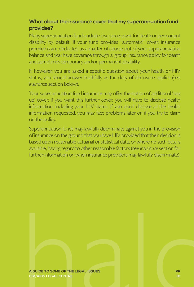#### **What about the insurance cover that my superannuation fund provides?**

Many superannuation funds include insurance cover for death or permanent disability by default. If your fund provides "automatic" cover, insurance premiums are deducted as a matter of course out of your superannuation balance and you have coverage through a 'group' insurance policy for death and sometimes temporary and/or permanent disability.

If, however, you are asked a specific question about your health or HIV status, you should answer truthfully as the duty of disclosure applies (see *Insurance* section below).

Your superannuation fund insurance may offer the option of additional 'top up' cover. If you want this further cover, you will have to disclose health information, including your HIV status. If you don't disclose all the health information requested, you may face problems later on if you try to claim on the policy.

Superannuation funds may lawfully discriminate against you in the provision of insurance on the ground that you have HIV provided that their decision is based upon reasonable actuarial or statistical data, or where no such data is available, having regard to other reasonable factors (see *Insurance* section for further information on when insurance providers may lawfully discriminate).

**A GUIDE TO SOME OF THE LEGAL ISSUES**<br>HIV/AIDS LEGAL CENTRE **HIV/AIDS LEGAL CENTRE**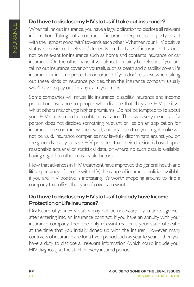#### **Do I have to disclose my HIV status if I take out insurance?**

When taking out insurance, you have a legal obligation to disclose all relevant information. Taking out a contract of insurance requires each party to act with the 'utmost good faith' towards each other. Whether your HIV positive status is considered 'relevant' depends on the type of insurance. It should not be relevant for insurance such as home and contents insurance or car insurance. On the other hand, it will almost certainly be relevant if you are taking out insurance cover on yourself, such as death and disability cover, life insurance or income protection insurance. If you don't disclose when taking out these kinds of insurance policies, then the insurance company usually won't have to pay out for any claim you make.

Some companies will refuse life insurance, disability insurance and income protection insurance to people who disclose that they are HIV positive, whilst others may charge higher premiums. Do not be tempted to lie about your HIV status in order to obtain insurance. The law is very clear that if a person does not disclose something relevant or lies on an application for insurance, the contract will be invalid, and any claim that you might make will not be valid. Insurance companies may lawfully discriminate against you on the grounds that you have HIV provided that their decision is based upon reasonable actuarial or statistical data, or where no such data is available, having regard to other reasonable factors.

Now that advances in HIV treatment have improved the general health and life expectancy of people with HIV, the range of insurance policies available if you are HIV positive is increasing. It's worth shopping around to find a company that offers the type of cover you want.

#### **Do I have to disclose my HIV status if I already have Income Protection or Life Insurance?**

Disclosure of your HIV status may not be necessary if you are diagnosed after entering into an insurance contract. If you have an annuity with your insurance company, then the only relevant matter is your state of health at the time that you initially signed up with the insurer. However, many contracts of insurance are for a fixed period such as year to year—then you have a duty to disclose all relevant information (which could include your HIV diagnosis) at the start of every insured period.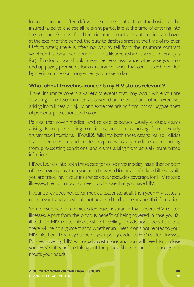Insurers can (and often do) void insurance contracts on the basis that the insured failed to disclose all relevant particulars at the time of entering into the contract. As most fixed term insurance contracts automatically roll over at the expiry of the period, the duty to disclose arises at the time of rollover. Unfortunately, there is often no way to tell from the insurance contract whether it is for a fixed period or for a lifetime (which is what an annuity is for). If in doubt, you should always get legal assistance, otherwise you may end up paying premiums for an insurance policy that could later be voided by the insurance company when you make a claim.

#### **What about travel insurance? Is my HIV status relevant?**

Travel insurance covers a variety of events that may occur while you are travelling. The two main areas covered are medical and other expenses arising from illness or injury; and expenses arising from loss of luggage, theft of personal possessions and so on.

Policies that cover medical and related expenses usually exclude claims arising from pre-existing conditions, and claims arising from sexually transmitted infections. HIV/AIDS falls into both these categories, so Policies that cover medical and related expenses usually exclude claims arising from pre-existing conditions, and claims arising from sexually transmitted infections.

HIV/AIDS falls into both these categories, so if your policy has either or both of these exclusions, then you aren't covered for any HIV related illness while you are travelling. If your insurance cover excludes coverage for HIV related illnesses, then you may not need to disclose that you have HIV.

If your policy does not cover medical expenses at all, then your HIV status is not relevant, and you should not be asked to disclose any health information.

Some insurance companies offer travel insurance that covers HIV related illnesses. Apart from the obvious benefit of being covered in case you fall ill with an HIV related illness while travelling, an additional benefit is Some insurance companies offer travel insurance that covers HIV related illnesses. Apart from the obvious benefit of being covered in case you fall ill with an HIV related illness while travelling, an additional benefit is that there will be no argument as to whether an illness is or is not related to your HIV infection. This may happen if your policy excludes HIV related illnesses. Policies covering HIV will usually cost more and you will need to disclose your HIV status before taking out the policy. Shop around for a policy that meets your needs.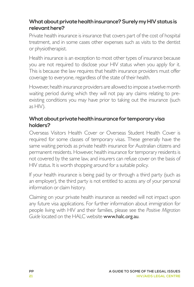#### **What about private health insurance? Surely my HIV status is relevant here?**

Private health insurance is insurance that covers part of the cost of hospital treatment, and in some cases other expenses such as visits to the dentist or physiotherapist.

Health insurance is an exception to most other types of insurance because you are not required to disclose your HIV status when you apply for it. This is because the law requires that health insurance providers must offer coverage to everyone, regardless of the state of their health.

However, health insurance providers are allowed to impose a twelve month waiting period during which they will not pay any claims relating to preexisting conditions you may have prior to taking out the insurance (such as HIV).

#### **What about private health insurance for temporary visa holders?**

Overseas Visitors Health Cover or Overseas Student Health Cover is required for some classes of temporary visas. These generally have the same waiting periods as private health insurance for Australian citizens and permanent residents. However, health insurance for temporary residents is not covered by the same law, and insurers can refuse cover on the basis of HIV status. It is worth shopping around for a suitable policy.

If your health insurance is being paid by or through a third party (such as an employer), the third party is not entitled to access any of your personal information or claim history.

Claiming on your private health insurance as needed will not impact upon any future visa applications. For further information about immigration for people living with HIV and their families, please see the *Positive Migration Guide* located on the HALC website www.halc.org.au.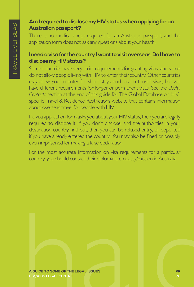#### **Am I required to disclose my HIV status when applying for an Australian passport?**

There is no medical check required for an Australian passport, and the application form does not ask any questions about your health.

#### **I need a visa for the country I want to visit overseas. Do I have to disclose my HIV status?**

Some countries have very strict requirements for granting visas, and some do not allow people living with HIV to enter their country. Other countries may allow you to enter for short stays, such as on tourist visas, but will have different requirements for longer or permanent visas. See the *Useful Contacts* section at the end of this guide for The Global Database on HIVspecific Travel & Residence Restrictions website that contains information about overseas travel for people with HIV.

If a visa application form asks you about your HIV status, then you are legally required to disclose it. If you don't disclose, and the authorities in your destination country find out, then you can be refused entry, or deported if you have already entered the country. You may also be fined or possibly even imprisoned for making a false declaration.

For the most accurate information on visa requirements for a particular country, you should contact their diplomatic embassy/mission in Australia.

**A GUIDE TO SOME OF THE LEGAL ISSUES**<br>HIV/AIDS LEGAL CENTRE **HIV/AIDS LEGAL CENTRE**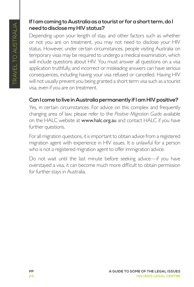#### **If I am coming to Australia as a tourist or for a short term, do I need to disclose my HIV status?**

Depending upon your length of stay, and other factors such as whether or not you are on treatment, you may not need to disclose your HIV status. However, under certain circumstances, people visiting Australia on temporary visas may be required to undergo a medical examination, which will include questions about HIV. You must answer all questions on a visa application truthfully, and incorrect or misleading answers can have serious consequences, including having your visa refused or cancelled. Having HIV will not usually prevent you being granted a short term visa such as a tourist visa, even if you are on treatment.

#### **Can I come to live in Australia permanently if I am HIV positive?**

Yes, in certain circumstances. For advice on this complex and frequently changing area of law, please refer to the *Positive Migration Guide* available on the HALC website at www.halc.org.au and contact HALC if you have further questions.

For all migration questions, it is important to obtain advice from a registered migration agent with experience in HIV issues. It is unlawful for a person who is not a registered migration agent to offer immigration advice.

Do not wait until the last minute before seeking advice—if you have overstayed a visa, it can become much more difficult to obtain permission for further stays in Australia.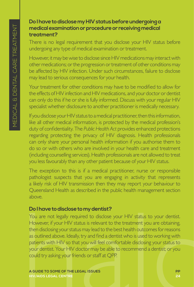#### **Do I have to disclose my HIV status before undergoing a medical examination or procedure or receiving medical treatment?**

There is no legal requirement that you disclose your HIV status before undergoing any type of medical examination or treatment.

However, it may be wise to disclose since HIV medications may interact with other medications; or the progression or treatment of other conditions may be affected by HIV infection. Under such circumstances, failure to disclose may lead to serious consequences for your health.

Your treatment for other conditions may have to be modified to allow for the effects of HIV infection and HIV medications, and your doctor or dentist can only do this if he or she is fully informed. Discuss with your regular HIV specialist whether disclosure to another practitioner is medically necessary.

If you disclose your HIV status to a medical practitioner, then this information, like all other medical information, is protected by the medical profession's duty of confidentiality. The *Public Health Act* provides enhanced protections regarding protecting the privacy of HIV diagnosis. Health professionals can only share your personal health information if you authorise them to do so or with others who are involved in your health care and treatment (including counselling services). Health professionals are not allowed to treat you less favourably than any other patient because of your HIV status.

The exception to this is if a medical practitioner, nurse or responsible pathologist suspects that you are engaging in activity that represents a likely risk of HIV transmission then they may report your behaviour to Queensland Health as described in the public health management section above.

#### **Do I have to disclose to my dentist?**

**Do I have to disclose to my dentist?**<br>
You are not legally required to disclose your HIV status to your dentist.<br>
However, if your HIV status is relevant to the treatment you are obtaining,<br>
then disclosing your status ma You are not legally required to disclose your HIV status to your dentist. However, if your HIV status is relevant to the treatment you are obtaining, then disclosing your status may lead to the best health outcomes for reasons as outlined above. Ideally, try and find a dentist who is used to working with patients with HIV so that you will feel comfortable disclosing your status to your dentist. Your HIV doctor may be able to recommend a dentist; or you could try asking your friends or staff at QPP.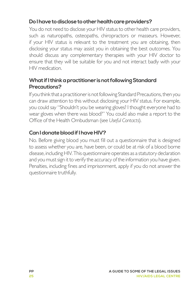#### **Do I have to disclose to other health care providers?**

You do not need to disclose your HIV status to other health care providers, such as naturopaths, osteopaths, chiropractors or masseurs. However, if your HIV status is relevant to the treatment you are obtaining, then disclosing your status may assist you in obtaining the best outcomes. You should discuss any complementary therapies with your HIV doctor to ensure that they will be suitable for you and not interact badly with your HIV medication.

#### **What if I think a practitioner is not following Standard Precautions?**

If you think that a practitioner is not following Standard Precautions, then you can draw attention to this without disclosing your HIV status. For example, you could say "Shouldn't you be wearing gloves? I thought everyone had to wear gloves when there was blood?" You could also make a report to the Office of the Health Ombudsman (see *Useful Contacts*).

#### **Can I donate blood if I have HIV?**

No. Before giving blood you must fill out a questionnaire that is designed to assess whether you are, have been, or could be at risk of a blood borne disease, including HIV. This questionnaire operates as a statutory declaration and you must sign it to verify the accuracy of the information you have given. Penalties, including fines and imprisonment, apply if you do not answer the questionnaire truthfully.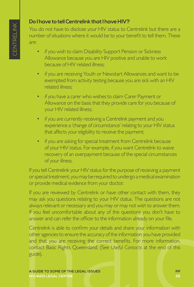#### **Do I have to tell Centrelink that I have HIV?**

You do not have to disclose your HIV status to Centrelink but there are a number of situations where it would be to your benefit to tell them. These are:

- if you wish to claim Disability Support Pension or Sickness Allowance because you are HIV positive and unable to work because of HIV related illness;
- if you are receiving Youth or Newstart Allowances and want to be exempted from activity testing because you are sick with an HIV related illness;
- if you have a carer who wishes to claim Carer Payment or Allowance on the basis that they provide care for you because of your HIV related illness;
- if you are currently receiving a Centrelink payment and you experience a 'change of circumstance' relating to your HIV status that affects your eligibility to receive the payment;
- if you are asking for special treatment from Centrelink because of your HIV status. For example, if you want Centrelink to waive recovery of an overpayment because of the special circumstances of your illness.

If you tell Centrelink your HIV status for the purpose of receiving a payment or special treatment, you may be required to undergo a medical examination or provide medical evidence from your doctor.

If you are reviewed by Centrelink or have other contact with them, they may ask you questions relating to your HIV status. The questions are not always relevant or necessary and you may or may not wish to answer them. If you feel uncomfortable about any of the questions you don't have to answer and can refer the officer to the information already on your file.

always relevant or necessary and you may or may not wish to answer them.<br>
If you feel uncomfortable about any of the questions you don't have to<br>
answer and can refer the officer to the information already on your file.<br>
C Centrelink is able to confirm your details and share your information with other agencies to ensure the accuracy of the information you have provided and that you are receiving the correct benefits. For more information, contact Basic Rights Queensland. (See *Useful Contacts* at the end of this guide).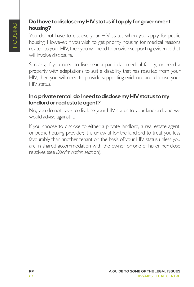#### **Do I have to disclose my HIV status if I apply for government housing?**

You do not have to disclose your HIV status when you apply for public housing. However, if you wish to get priority housing for medical reasons related to your HIV, then you will need to provide supporting evidence that will involve disclosure.

Similarly, if you need to live near a particular medical facility, or need a property with adaptations to suit a disability that has resulted from your HIV, then you will need to provide supporting evidence and disclose your HIV status.

#### **In a private rental, do I need to disclose my HIV status to my landlord or real estate agent?**

No, you do not have to disclose your HIV status to your landlord, and we would advise against it.

If you choose to disclose to either a private landlord, a real estate agent, or public housing provider, it is unlawful for the landlord to treat you less favourably than another tenant on the basis of your HIV status unless you are in shared accommodation with the owner or one of his or her close relatives (see *Discrimination* section).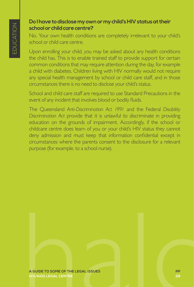#### **Do I have to disclose my own or my child's HIV status at their school or child care centre?**

No. Your own health conditions are completely irrelevant to your child's school or child care centre.

Upon enrolling your child, you may be asked about any health conditions the child has. This is to enable trained staff to provide support for certain common conditions that may require attention during the day, for example a child with diabetes. Children living with HIV normally would not require any special health management by school or child care staff, and in those circumstances there is no need to disclose your child's status.

School and child care staff are required to use Standard Precautions in the event of any incident that involves blood or bodily fluids.

The Queensland *Anti-Discrimination Act 1991* and the Federal *Disability Discrimination Act* provide that it is unlawful to discriminate in providing education on the grounds of impairment. Accordingly, if the school or childcare centre does learn of you or your child's HIV status they cannot deny admission and must keep that information confidential except in circumstances where the parents consent to the disclosure for a relevant purpose (for example, to a school nurse).

**A GUIDE TO SOME OF THE LEGAL ISSUES**<br>HIV/AIDS LEGAL CENTRE **HIV/AIDS LEGAL CENTRE**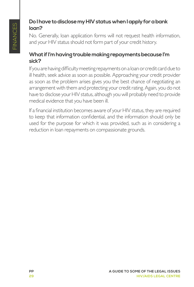#### **Do I have to disclose my HIV status when I apply for a bank loan?**

No. Generally, loan application forms will not request health information, and your HIV status should not form part of your credit history.

#### **What if I'm having trouble making repayments because I'm sick?**

If you are having difficulty meeting repayments on a loan or credit card due to ill health, seek advice as soon as possible. Approaching your credit provider as soon as the problem arises gives you the best chance of negotiating an arrangement with them and protecting your credit rating. Again, you do not have to disclose your HIV status, although you will probably need to provide medical evidence that you have been ill.

If a financial institution becomes aware of your HIV status, they are required to keep that information confidential, and the information should only be used for the purpose for which it was provided, such as in considering a reduction in loan repayments on compassionate grounds.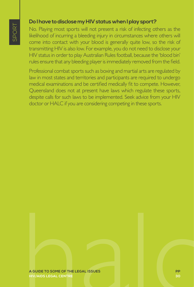#### **Do I have to disclose my HIV status when I play sport?**

No. Playing most sports will not present a risk of infecting others as the likelihood of incurring a bleeding injury in circumstances where others will come into contact with your blood is generally quite low, so the risk of transmitting HIV is also low. For example, you do not need to disclose your HIV status in order to play Australian Rules football, because the 'blood bin' rules ensure that any bleeding player is immediately removed from the field.

Professional combat sports such as boxing and martial arts are regulated by law in most states and territories and participants are required to undergo medical examinations and be certified medically fit to compete. However, Queensland does not at present have laws which regulate these sports, despite calls for such laws to be implemented. Seek advice from your HIV doctor or HALC if you are considering competing in these sports.

# **A GUIDE TO SOME OF THE LEGAL ISSUES**<br>HIV/AIDS LEGAL CENTRE<br>HIV/AIDS LEGAL CENTRE **HIV/AIDS LEGAL CENTRE**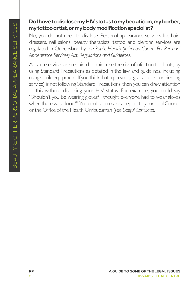#### **Do I have to disclose my HIV status to my beautician, my barber, my tattoo artist, or my body modification specialist?**

No, you do not need to disclose. Personal appearance services like hairdressers, nail salons, beauty therapists, tattoo and piercing services are regulated in Queensland by the *Public Health (Infection Control For Personal Appearance Services) Act, Regulations and Guidelines.*

All such services are required to minimise the risk of infection to clients, by using Standard Precautions as detailed in the law and guidelines, including using sterile equipment. If you think that a person (e.g. a tattooist or piercing service) is not following Standard Precautions, then you can draw attention to this without disclosing your HIV status. For example, you could say "Shouldn't you be wearing gloves? I thought everyone had to wear gloves when there was blood?" You could also make a report to your local Council or the Office of the Health Ombudsman (see *Useful Contacts*).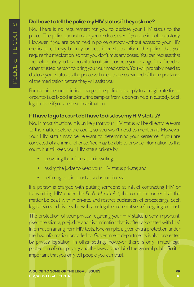#### **Do I have to tell the police my HIV status if they ask me?**

No. There is no requirement for you to disclose your HIV status to the police. The police cannot make you disclose, even if you are in police custody. However, if you are being held in police custody without access to your HIV medication, it may be in your best interests to inform the police that you require this medication, so that you don't miss any doses. You can request that the police take you to a hospital to obtain it or help you arrange for a friend or other trusted person to bring you your medication. You will probably need to disclose your status, as the police will need to be convinced of the importance of the medication before they will assist you.

For certain serious criminal charges, the police can apply to a magistrate for an order to take blood and/or urine samples from a person held in custody. Seek legal advice if you are in such a situation.

#### **If I have to go to court do I have to disclose my HIV status?**

No. In most situations, it is unlikely that your HIV status will be directly relevant to the matter before the court, so you won't need to mention it. However, your HIV status may be relevant to determining your sentence if you are convicted of a criminal offence. You may be able to provide information to the court, but still keep your HIV status private by:

- providing the information in writing;
- asking the judge to keep your HIV status private; and
- referring to it in court as 'a chronic illness'.

If a person is charged with putting someone at risk of contracting HIV or transmitting HIV under the *Public Health Act*, the court can order that the matter be dealt with in private, and restrict publication of proceedings. Seek legal advice and discuss this with your legal representative before going to court.

legal advice and discuss this with your legal representative before going to court.<br>
The protection of your privacy regarding your HIV status is very important,<br>
given the stigma, prejudice and discrimination that is often The protection of your privacy regarding your HIV status is very important, given the stigma, prejudice and discrimination that is often associated with HIV. Information arising from HIV tests, for example, is given extra protection under the law. Information provided to Government departments is also protected by privacy legislation. In other settings however, there is only limited legal protection of your privacy and the laws do not bind the general public. So it is important that you only tell people you can trust.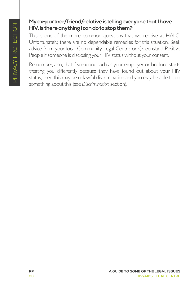#### **My ex-partner/friend/relative is telling everyone that I have HIV. Is there anything I can do to stop them?**

This is one of the more common questions that we receive at HALC. Unfortunately, there are no dependable remedies for this situation. Seek advice from your local Community Legal Centre or Queensland Positive People if someone is disclosing your HIV status without your consent.

Remember, also, that if someone such as your employer or landlord starts treating you differently because they have found out about your HIV status, then this may be unlawful discrimination and you may be able to do something about this (see *Discrimination* section).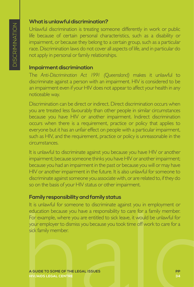#### **What is unlawful discrimination?**

Unlawful discrimination is treating someone differently in work or public life because of certain personal characteristics, such as a disability or impairment, or because they belong to a certain group, such as a particular race. Discrimination laws do not cover all aspects of life, and in particular do not apply in personal or family relationships.

#### **Impairment discrimination**

The *Anti-Discrimination Act 1991 (Queensland)* makes it unlawful to discriminate against a person with an impairment. HIV is considered to be an impairment even if your HIV does not appear to affect your health in any noticeable way.

Discrimination can be direct or indirect. Direct discrimination occurs when you are treated less favourably than other people in similar circumstances because you have HIV or another impairment. Indirect discrimination occurs when there is a requirement, practice or policy that applies to everyone but it has an unfair effect on people with a particular impairment, such as HIV, and the requirement, practice or policy is unreasonable in the circumstances.

It is unlawful to discriminate against you because you have HIV or another impairment; because someone thinks you have HIV or another impairment; because you had an impairment in the past or because you will or may have HIV or another impairment in the future. It is also unlawful for someone to discriminate against someone you associate with, or are related to, if they do so on the basis of your HIV status or other impairment.

#### **Family responsibility and family status**

Halc Continued to the Continued and the Continued and the Continued and the Continued Continued and the Continues of the Continues of the Continues of the Continues of the Continues of the Continues of the Continues of the It is unlawful for someone to discriminate against you in employment or education because you have a responsibility to care for a family member. For example, where you are entitled to sick leave, it would be unlawful for your employer to dismiss you because you took time off work to care for a sick family member.

**HIV/AIDS LEGAL CENTRE**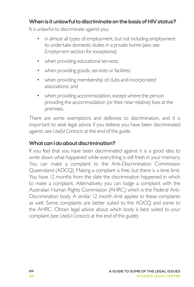#### **When is it unlawful to discriminate on the basis of HIV status?**

It is unlawful to discriminate against you:

- in almost all types of employment, but not including employment to undertake domestic duties in a private home (also see *Employment* section for exceptions);
- when providing educational services;
- when providing goods, services or facilities;
- when providing membership of clubs and incorporated associations; and
- when providing accommodation, except where the person providing the accommodation (or their near relative) lives at the premises.

There are some exemptions and defences to discrimination, and it is important to seek legal advice if you believe you have been discriminated against, see *Useful Contacts* at the end of this guide.

#### **What can I do about discrimination?**

If you feel that you have been discriminated against it is a good idea to write down what happened while everything is still fresh in your memory. You can make a complaint to the Anti-Discrimination Commission Queensland (ADCQ). Making a complaint is free, but there is a time limit. You have 12 months from the date the discrimination happened in which to make a complaint. Alternatively, you can lodge a complaint with the Australian Human Rights Commission (AHRC) which is the Federal Anti-Discrimination body. A similar 12 month limit applies to these complaints as well. Some complaints are better suited to the ADCQ and some to the AHRC. Obtain legal advice about which body is best suited to your complaint (see *Useful Contacts* at the end of this guide).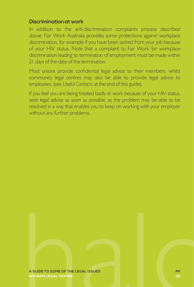#### **Discrimination at work**

In addition to the anti-discrimination complaints process described above, Fair Work Australia provides some protections against workplace discrimination, for example if you have been sacked from your job because of your HIV status. Note that a complaint to Fair Work for workplace discrimination leading to termination of employment must be made within 21 days of the date of the termination.

Most unions provide confidential legal advice to their members, whilst community legal centres may also be able to provide legal advice to employees. (see *Useful Contacts* at the end of this guide).

If you feel you are being treated badly at work because of your HIV status, seek legal advice as soon as possible, as the problem may be able to be resolved in a way that enables you to keep on working with your employer without any further problems.

# **A GUIDE TO SOME OF THE LEGAL ISSUES**<br>HIV/AIDS LEGAL CENTRE **HIV/AIDS LEGAL CENTRE**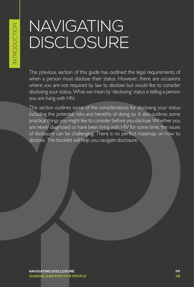### NAVIGATING **DISCLOSURE**

The previous section of this guide has outlined the legal requirements of when a person must disclose their status. However, there are occasions where you are not required by law to disclose but would like to consider disclosing your status. What we mean by 'disclosing' status is telling a person you are living with HIV.

This section outlines some of the considerations for disclosing your status including the potential risks and benefits of doing so. It also outlines some practical things you might like to consider before you disclose. Whether you are newly diagnosed or have been living with HIV for some time, the issues of disclosure can be challenging. There is no perfect roadmap on how to disclose. This booklet will help you navigate disclosure.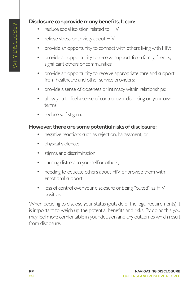#### **Disclosure can provide many benefits. It can:**

- reduce social isolation related to HIV;
- relieve stress or anxiety about HIV;
- provide an opportunity to connect with others living with HIV;
- provide an opportunity to receive support from family, friends, significant others or communities;
- provide an opportunity to receive appropriate care and support from healthcare and other service providers;
- provide a sense of closeness or intimacy within relationships;
- allow you to feel a sense of control over disclosing on your own terms;
- reduce self-stigma.

#### **However, there are some potential risks of disclosure:**

- negative reactions such as rejection, harassment, or
- physical violence;
- stigma and discrimination;
- causing distress to yourself or others;
- needing to educate others about HIV or provide them with emotional support;
- loss of control over your disclosure or being "outed" as HIV positive.

When deciding to disclose your status (outside of the legal requirements) it is important to weigh up the potential benefits and risks. By doing this you may feel more comfortable in your decision and any outcomes which result from disclosure.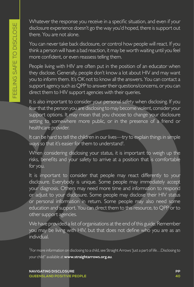Whatever the response you receive in a specific situation, and even if your disclosure experience doesn't go the way you'd hoped, there is support out there. You are not alone.

You can never take back disclosure, or control how people will react. If you think a person will have a bad reaction, it may be worth waiting until you feel more confident, or even reassess telling them.

People living with HIV are often put in the position of an educator when they disclose. Generally, people don't know a lot about HIV and may want you to inform them. It's OK not to know all the answers. You can contact a support agency such as QPP to answer their questions/concerns, or you can direct them to HIV support agencies with their queries.

It is also important to consider your personal safety when disclosing. If you fear that the person you are disclosing to may become violent, consider your support options. It may mean that you choose to change your disclosure setting to somewhere more public, or in the presence of a friend or healthcare provider.

It can be hard to tell the children in our lives—try to explain things in simple ways so that it's easier for them to understand'.

When considering disclosing your status, it is important to weigh up the risks, benefits and your safety to arrive at a position that is comfortable for you.

It is important to consider that people may react differently to your disclosure. Everybody is unique. Some people may immediately accept your diagnosis. Others may need more time and information to respond or adjust to your disclosure. Some people may disclose their HIV status or personal information in return. Some people may also need some education and support. You can direct them to this resource, to QPP or to other support agencies.

We have provided a list of organisations at the end of this guide. Remember you may be living with HIV, but that does not define who you are as an individual.

<sup>1</sup>For more information on disclosing to a child, see Straight Arrows 'Just a part of life... Disclosing to your child" available at **www.straightarrows.org.au**.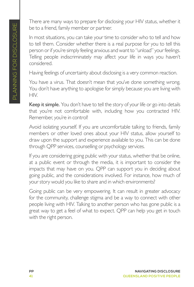There are many ways to prepare for disclosing your HIV status, whether it be to a friend, family member or partner.

In most situations, you can take your time to consider who to tell and how to tell them. Consider whether there is a real purpose for you to tell this person or if you're simply feeling anxious and want to "unload" your feelings. Telling people indiscriminately may affect your life in ways you haven't considered.

Having feelings of uncertainty about disclosing is a very common reaction.

You have a virus. That doesn't mean that you've done something wrong. You don't have anything to apologise for simply because you are living with HIV.

Keep it simple. You don't have to tell the story of your life or go into details that you're not comfortable with, including how you contracted HIV. Remember, you're in control!

Avoid isolating yourself. If you are uncomfortable talking to friends, family members or other loved ones about your HIV status, allow yourself to draw upon the support and experience available to you. This can be done through QPP services, counselling or psychology services.

If you are considering going public with your status, whether that be online, at a public event or through the media, it is important to consider the impacts that may have on you. QPP can support you in deciding about going public, and the considerations involved. For instance, how much of your story would you like to share and in which environments?

Going public can be very empowering. It can result in greater advocacy for the community, challenge stigma and be a way to connect with other people living with HIV. Talking to another person who has gone public is a great way to get a feel of what to expect. QPP can help you get in touch with the right person.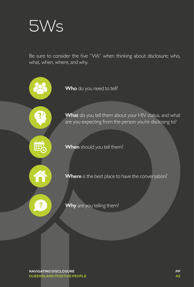

Be sure to consider the five "Ws" when thinking about disclosure; who, what, when, where, and why.



**What** do you tell them about your HIV status, and what are you expecting from the person you're disclosing to?

**When** should you tell them?



1

E<sup>t</sup>

**Where** is the best place to have the conversation?



**Why** are you telling them?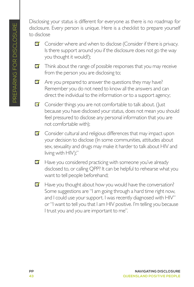Disclosing your status is different for everyone as there is no roadmap for disclosure. Every person is unique. Here is a checklist to prepare yourself to disclose

- $\Box'$  Consider where and when to disclose (Consider if there is privacy. Is there support around you if the disclosure does not go the way you thought it would?);
- $\blacksquare'$  Think about the range of possible responses that you may receive from the person you are disclosing to;
- $\blacktriangleright$  Are you prepared to answer the questions they may have? Remember you do not need to know all the answers and can direct the individual to the information or to a support agency;
- $\blacksquare'$  Consider things you are not comfortable to talk about. (Just because you have disclosed your status, does not mean you should feel pressured to disclose any personal information that you are not comfortable with);
- Consider cultural and religious differences that may impact upon your decision to disclose (In some communities, attitudes about sex, sexuality and drugs may make it harder to talk about HIV and living with HIV);"
- $\blacksquare'$  Have you considered practicing with someone you've already disclosed to, or calling QPP? It can be helpful to rehearse what you want to tell people beforehand;
- $\blacksquare'$  Have you thought about how you would have the conversation? Some suggestions are "I am going through a hard time right now, and I could use your support. I was recently diagnosed with HIV" or "I want to tell you that I am HIV positive. I'm telling you because I trust you and you are important to me".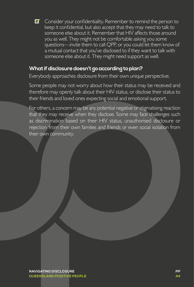Consider your confidentiality. Remember to remind the person to keep it confidential, but also accept that they may need to talk to someone else about it. Remember that HIV affects those around you as well. They might not be comfortable asking you some questions—invite them to call OPP, or you could let them know of a mutual contact that you've disclosed to if they want to talk with someone else about it. They might need support as well.

#### **What if disclosure doesn't go according to plan?**

Everybody approaches disclosure from their own unique perspective.

Some people may not worry about how their status may be received and therefore may openly talk about their HIV status, or disclose their status to their friends and loved ones expecting social and emotional support.

For others, a concern may be any potential negative or stigmatising reaction that they may receive when they disclose. Some may face challenges such as discrimination based on their HIV status, unauthorised disclosure or rejection from their own families and friends or even social isolation from their own community.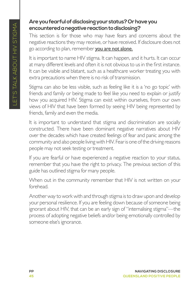#### **Are you fearful of disclosing your status? Or have you encountered a negative reaction to disclosing?**

This section is for those who may have fears and concerns about the negative reactions they may receive, or have received. If disclosure does not go according to plan, remember you are not alone.

It is important to name HIV stigma. It can happen, and it hurts. It can occur at many different levels and often it is not obvious to us in the first instance. It can be visible and blatant, such as a healthcare worker treating you with extra precautions when there is no risk of transmission.

Stigma can also be less visible, such as feeling like it is a 'no go topic' with friends and family or being made to feel like you need to explain or justify how you acquired HIV. Stigma can exist within ourselves, from our own views of HIV that have been formed by seeing HIV being represented by friends, family and even the media.

It is important to understand that stigma and discrimination are socially constructed. There have been dominant negative narratives about HIV over the decades which have created feelings of fear and panic among the community and also people living with HIV. Fear is one of the driving reasons people may not seek testing or treatment.

If you are fearful or have experienced a negative reaction to your status, remember that you have the right to privacy. The previous section of this guide has outlined stigma for many people.

When out in the community remember that HIV is not written on your forehead.

Another way to work with and through stigma is to draw upon and develop your personal resilience. If you are feeling down because of someone being ignorant about HIV, that can be an early sign of "internalising stigma"—the process of adopting negative beliefs and/or being emotionally controlled by someone else's ignorance.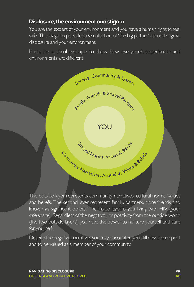#### **Disclosure, the environment and stigma**

You are the expert of your environment and you have a human right to feel safe. This diagram provides a visualisation of 'the big picture' around stigma, disclosure and your environment.

It can be a visual example to show how everyone's experiences and environments are different.



The outside layer represents community narratives, cultural norms, values and beliefs. The second layer represent family, partners, close friends also known as significant others. The inside layer is you living with HIV (your safe space). Regardless of the negativity or positivity from the outside world (the two outside layers), you have the power to nurture yourself and care for yourself.

Despite the negative narratives you may encounter, you still deserve respect and to be valued as a member of your community.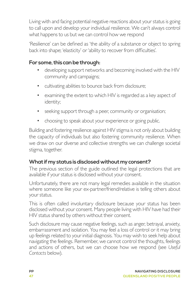Living with and facing potential negative reactions about your status is going to call upon and develop your individual resilience. We can't always control what happens to us but we can control how we respond

'Resilience' can be defined as 'the ability of a substance or object to spring back into shape; 'elasticity' or 'ability to recover from difficulties'.

#### **For some, this can be through:**

- developing support networks and becoming involved with the HIV community and campaigns;
- cultivating abilities to bounce back from disclosure;
- examining the extent to which HIV is regarded as a key aspect of identity;
- seeking support through a peer, community or organisation;
- choosing to speak about your experience or going public.

Building and fostering resilience against HIV stigma is not only about building the capacity of individuals but also fostering community resilience. When we draw on our diverse and collective strengths we can challenge societal stigma, together.

#### **What if my status is disclosed without my consent?**

The previous section of the guide outlined the legal protections that are available if your status is disclosed without your consent.

Unfortunately, there are not many legal remedies available in the situation where someone like your ex-partner/friend/relative is telling others about your status.

This is often called involuntary disclosure because your status has been disclosed without your consent. Many people living with HIV have had their HIV status shared by others without their consent.

Such disclosure may cause negative feelings, such as anger, betrayal, anxiety, embarrassment and isolation. You may feel a loss of control or it may bring up feelings related to your initial diagnosis. You may wish to seek help about navigating the feelings. Remember, we cannot control the thoughts, feelings and actions of others, but we can choose how we respond (see *Useful Contacts* below).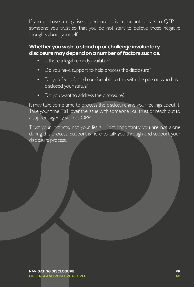If you do have a negative experience, it is important to talk to QPP or someone you trust so that you do not start to believe those negative thoughts about yourself.

#### **Whether you wish to stand up or challenge involuntary disclosure may depend on a number of factors such as:**

- Is there a legal remedy available?
- Do you have support to help process the disclosure?
- Do you feel safe and comfortable to talk with the person who has disclosed your status?
- Do you want to address the disclosure?

It may take some time to process the disclosure and your feelings about it. Take your time. Talk over the issue with someone you trust or reach out to a support agency such as QPP.

Trust your instincts, not your fears. Most importantly you are not alone during this process. Support is here to talk you through and support your disclosure process.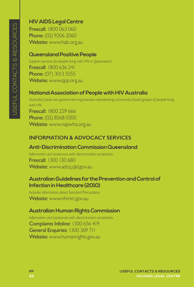#### **HIV AIDS Legal Centre**

Freecall: 1800 063 060 Phone: (02) 9206 2060 Website: www.halc.org.au

#### **Queensland Positive People**

*Support services for people living with HIV in Queensland.* Freecall: 1800 636 241 Phone: (07) 3013 5555 Website: www.app.org.au

#### **National Association of People with HIV Australia**

*Australia's peak non-government organisation representing community-based groups of people living with HIV.* Freecall: 1800 259 666 Phone: (02) 8568 0300 Website: www.napwha.org.au

#### **INFORMATION & ADVOCACY SERVICES**

#### **Anti-Discrimination Commission Queensland**

*Information and assistance with discrimination complaints.* Freecall: 1300 130 680 Website: www.adcq.qld.gov.au

#### **Australian Guidelines for the Prevention and Control of Infection in Healthcare (2010)**

*Includes information about Standard Precautions.* Website: www.nhmrc.gov.au

#### **Australian Human Rights Commission**

*Information and assistance with discrimination complaints.* Complaints Infoline: 1300 656 419 General Enquiries: 1300 369 711 Website: www.humanrights.gov.au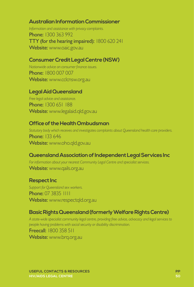#### **Australian Information Commissioner**

*Information and assistance with privacy complaints.* Phone: 1300 363 992 TTY (for the hearing impaired): 1800 620 241 Website: www.oaic.gov.au

#### **Consumer Credit Legal Centre (NSW)**

*Nationwide advice on consumer finance issues.* Phone: 1800 007 007 Website: www.cclcnsw.org.au

#### **Legal Aid Queensland**

*Free legal advice and assistance.* Phone: 1300 651 188 Website: www.legalaid.qld.gov.au

#### **Office of the Health Ombudsman**

*Statutory body which receives and investigates complaints about Queensland health care providers.* Phone: 133 646 Website: www.oho.qld.gov.au

#### **Queensland Association of Independent Legal Services Inc**

*For information about your nearest Community Legal Centre and specialist services.* Website: www.qails.org.au

#### **Respect Inc**

*Support for Queensland sex workers.* Phone: 07 3835 1111 Website: www.respectqld.org.au

#### **Basic Rights Queensland (formerly Welfare Rights Centre)**

*A state-wide specialist community legal centre, providing free advice, advocacy and legal services to people having problems with social security or disability discrimination.* Freecall: 1800 358 511 Website: www.brq.org.au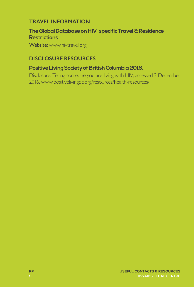#### **TRAVEL INFORMATION**

#### **The Global Database on HIV-specific Travel & Residence Restrictions**

Website: www.hivtravel.org

#### **DISCLOSURE RESOURCES**

#### **Positive Living Society of British Columbia 2016,**

Disclosure: Telling someone you are living with HIV, accessed 2 December 2016, www.positivelivingbc.org/resources/health-resources/